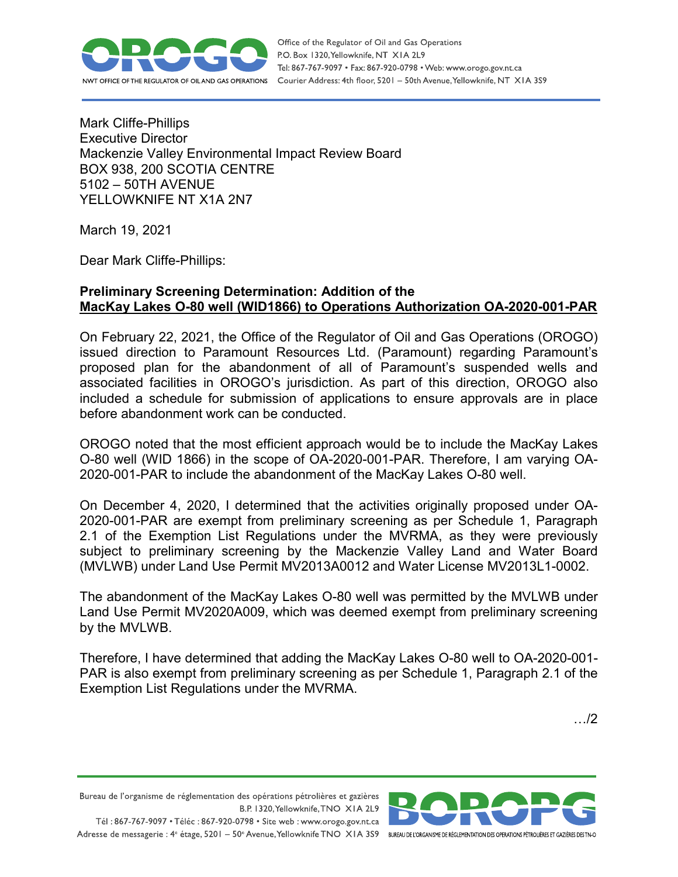

Office of the Regulator of Oil and Gas Operations P.O. Box 1320, Yellowknife, NT XIA 2L9 Tel: 867-767-9097 • Fax: 867-920-0798 • Web: www.orogo.gov.nt.ca Courier Address: 4th floor, 5201 - 50th Avenue, Yellowknife, NT XIA 3S9

Mark Cliffe-Phillips Executive Director Mackenzie Valley Environmental Impact Review Board BOX 938, 200 SCOTIA CENTRE 5102 – 50TH AVENUE YELLOWKNIFE NT X1A 2N7

March 19, 2021

Dear Mark Cliffe-Phillips:

## **Preliminary Screening Determination: Addition of the MacKay Lakes O-80 well (WID1866) to Operations Authorization OA-2020-001-PAR**

On February 22, 2021, the Office of the Regulator of Oil and Gas Operations (OROGO) issued direction to Paramount Resources Ltd. (Paramount) regarding Paramount's proposed plan for the abandonment of all of Paramount's suspended wells and associated facilities in OROGO's jurisdiction. As part of this direction, OROGO also included a schedule for submission of applications to ensure approvals are in place before abandonment work can be conducted.

OROGO noted that the most efficient approach would be to include the MacKay Lakes O-80 well (WID 1866) in the scope of OA-2020-001-PAR. Therefore, I am varying OA-2020-001-PAR to include the abandonment of the MacKay Lakes O-80 well.

On December 4, 2020, I determined that the activities originally proposed under OA-2020-001-PAR are exempt from preliminary screening as per Schedule 1, Paragraph 2.1 of the Exemption List Regulations under the MVRMA, as they were previously subject to preliminary screening by the Mackenzie Valley Land and Water Board (MVLWB) under Land Use Permit MV2013A0012 and Water License MV2013L1-0002.

The abandonment of the MacKay Lakes O-80 well was permitted by the MVLWB under Land Use Permit MV2020A009, which was deemed exempt from preliminary screening by the MVLWB.

Therefore, I have determined that adding the MacKay Lakes O-80 well to OA-2020-001- PAR is also exempt from preliminary screening as per Schedule 1, Paragraph 2.1 of the Exemption List Regulations under the MVRMA.

…/2

Bureau de l'organisme de réglementation des opérations pétrolières et gazières B.P. 1320, Yellowknife, TNO XIA 2L9 Tél: 867-767-9097 • Téléc: 867-920-0798 • Site web: www.orogo.gov.nt.ca

Adresse de messagerie : 4<sup>e</sup> étage, 5201 - 50° Avenue, Yellowknife TNO XIA 3S9 BUREAU DEL'ORGANISME DE RÉGLEMENTATION DES OPERATIONS PÉTROLIÈRES ET GAZIÈRES DESTNO